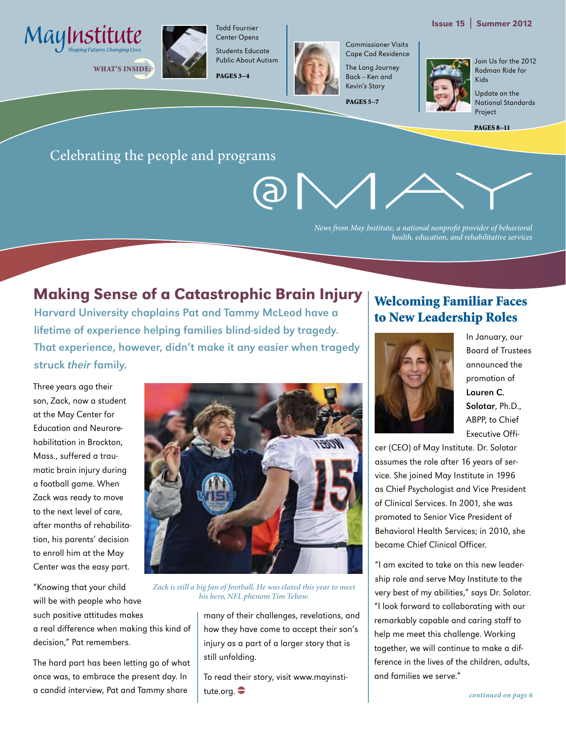

WHAT'S INSIDE:



Center Opens Students Educate Public About Autism

Todd Fournier

PAGES 3–4



Commissioner Visits Cape Cod Residence

The Long Journey Back—Ken and Kevin's Story

PAGES 5–7

Join Us for the 2012 Rodman Ride for Kids

Update on the National Standards Project

PAGES 8–11

Issue 15 | Summer 2012

#### Celebrating the people and programs

*News from May Institute, a national nonprofit provider of behavioral health, education, and rehabilitative services*

#### Making Sense of a Catastrophic Brain Injury

Harvard University chaplains Pat and Tammy McLeod have a lifetime of experience helping families blind-sided by tragedy. That experience, however, didn't make it any easier when tragedy struck their family.

Three years ago their son, Zack, now a student at the May Center for Education and Neurorehabilitation in Brockton, Mass., suffered a traumatic brain injury during a football game. When Zack was ready to move to the next level of care, after months of rehabilitation, his parents' decision to enroll him at the May Center was the easy part.

"Knowing that your child will be with people who have such positive attitudes makes a real difference when making this kind of decision," Pat remembers.

The hard part has been letting go of what once was, to embrace the present day. In a candid interview, Pat and Tammy share



*Zack is still a big fan of football. He was elated this year to meet his hero, NFL phenom Tim Tebow.*

many of their challenges, revelations, and how they have come to accept their son's injury as a part of a larger story that is still unfolding.

To read their story, visit www.mayinstitute.org.  $\bullet$ 

#### Welcoming Familiar Faces to New Leadership Roles



In January, our Board of Trustees announced the promotion of Lauren C. Solotar, Ph.D., ABPP, to Chief Executive Offi-

cer (CEO) of May Institute. Dr. Solotar assumes the role after 16 years of service. She joined May Institute in 1996 as Chief Psychologist and Vice President of Clinical Services. In 2001, she was promoted to Senior Vice President of Behavioral Health Services; in 2010, she became Chief Clinical Officer.

"I am excited to take on this new leadership role and serve May Institute to the very best of my abilities," says Dr. Solotar. "I look forward to collaborating with our remarkably capable and caring staff to help me meet this challenge. Working together, we will continue to make a difference in the lives of the children, adults, and families we serve."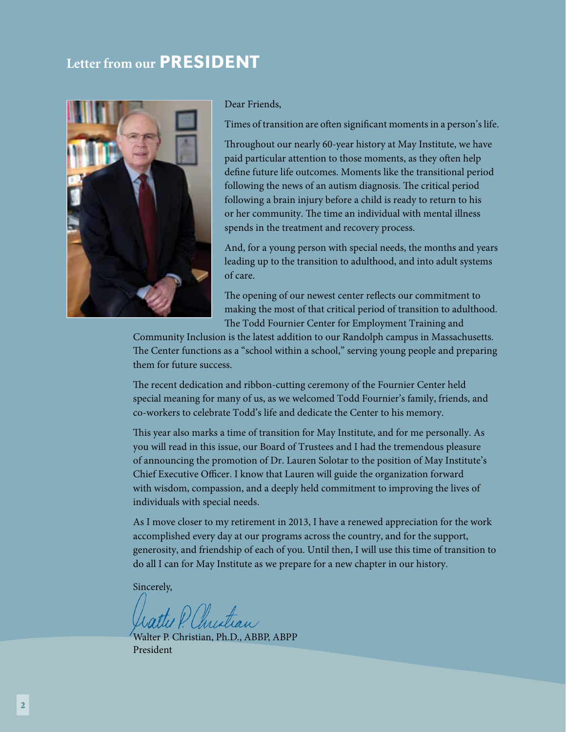#### **Letter from our PRESIDENT**



Dear Friends,

Times of transition are often significant moments in a person's life.

Throughout our nearly 60-year history at May Institute, we have paid particular attention to those moments, as they often help define future life outcomes. Moments like the transitional period following the news of an autism diagnosis. The critical period following a brain injury before a child is ready to return to his or her community. The time an individual with mental illness spends in the treatment and recovery process.

And, for a young person with special needs, the months and years leading up to the transition to adulthood, and into adult systems of care.

The opening of our newest center reflects our commitment to making the most of that critical period of transition to adulthood. The Todd Fournier Center for Employment Training and

Community Inclusion is the latest addition to our Randolph campus in Massachusetts. The Center functions as a "school within a school," serving young people and preparing them for future success.

The recent dedication and ribbon-cutting ceremony of the Fournier Center held special meaning for many of us, as we welcomed Todd Fournier's family, friends, and co-workers to celebrate Todd's life and dedicate the Center to his memory.

This year also marks a time of transition for May Institute, and for me personally. As you will read in this issue, our Board of Trustees and I had the tremendous pleasure of announcing the promotion of Dr. Lauren Solotar to the position of May Institute's Chief Executive Officer. I know that Lauren will guide the organization forward with wisdom, compassion, and a deeply held commitment to improving the lives of individuals with special needs.

As I move closer to my retirement in 2013, I have a renewed appreciation for the work accomplished every day at our programs across the country, and for the support, generosity, and friendship of each of you. Until then, I will use this time of transition to do all I can for May Institute as we prepare for a new chapter in our history.

Sincerely,

Walter P. Christian, Ph.D., ABBP, ABPP President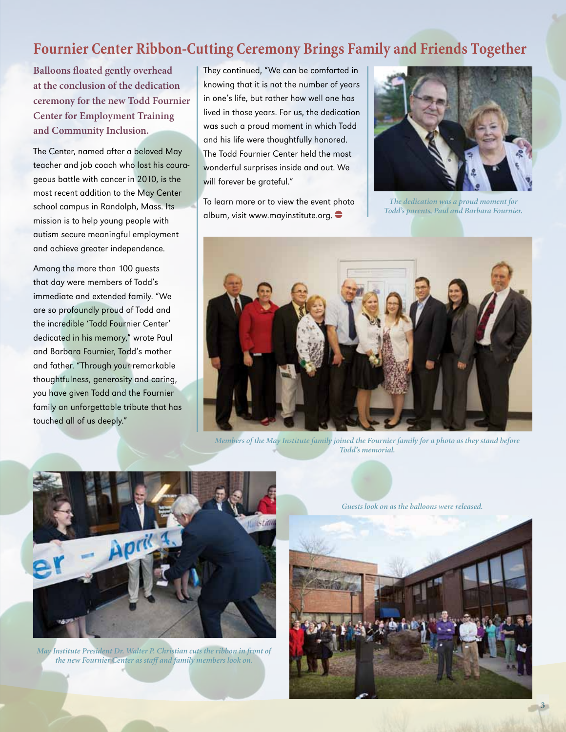#### **Fournier Center Ribbon-Cutting Ceremony Brings Family and Friends Together**

**Balloons floated gently overhead at the conclusion of the dedication ceremony for the new Todd Fournier Center for Employment Training and Community Inclusion.** 

The Center, named after a beloved May teacher and job coach who lost his courageous battle with cancer in 2010, is the most recent addition to the May Center school campus in Randolph, Mass. Its mission is to help young people with autism secure meaningful employment and achieve greater independence.

Among the more than 100 guests that day were members of Todd's immediate and extended family. "We are so profoundly proud of Todd and the incredible 'Todd Fournier Center' dedicated in his memory," wrote Paul and Barbara Fournier, Todd's mother and father. "Through your remarkable thoughtfulness, generosity and caring, you have given Todd and the Fournier family an unforgettable tribute that has touched all of us deeply."

They continued, "We can be comforted in knowing that it is not the number of years in one's life, but rather how well one has lived in those years. For us, the dedication was such a proud moment in which Todd and his life were thoughtfully honored. The Todd Fournier Center held the most wonderful surprises inside and out. We will forever be grateful."

To learn more or to view the event photo album, visit www.mayinstitute.org.



*The dedication was a proud moment for Todd's parents, Paul and Barbara Fournier.*



*Members of the May Institute family joined the Fournier family for a photo as they stand before Todd's memorial.*



*May Institute President Dr. Walter P. Christian cuts the ribbon in front of the new Fournier Center as staff and family members look on.*

*Guests look on as the balloons were released.*



3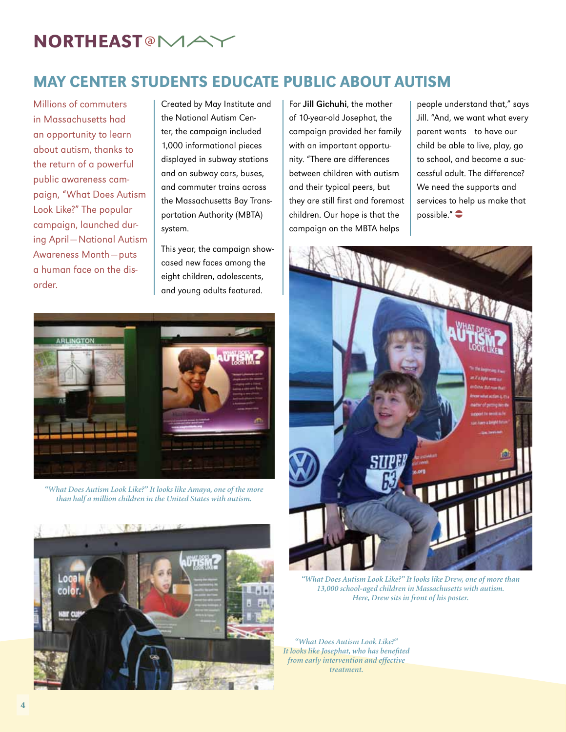## **NORTHEAST<sup>®</sup>MA**

### May Center Students Educate public About Autism

Millions of commuters in Massachusetts had an opportunity to learn about autism, thanks to the return of a powerful public awareness campaign, "What Does Autism Look Like?" The popular campaign, launched during April—National Autism Awareness Month—puts a human face on the disorder.

Created by May Institute and the National Autism Center, the campaign included 1,000 informational pieces displayed in subway stations and on subway cars, buses, and commuter trains across the Massachusetts Bay Transportation Authority (MBTA) system.

This year, the campaign showcased new faces among the eight children, adolescents, and young adults featured.

For Jill Gichuhi, the mother of 10-year-old Josephat, the campaign provided her family with an important opportunity. "There are differences between children with autism and their typical peers, but they are still first and foremost children. Our hope is that the campaign on the MBTA helps

people understand that," says Jill. "And, we want what every parent wants—to have our child be able to live, play, go to school, and become a successful adult. The difference? We need the supports and services to help us make that possible." $\bullet$ 



*"What Does Autism Look Like?" It looks like Drew, one of more than 13,000 school-aged children in Massachusetts with autism. Here, Drew sits in front of his poster.*

*"What Does Autism Look Like?" It looks like Josephat, who has benefited from early intervention and effective treatment.*



*"What Does Autism Look Like?" It looks like Amaya, one of the more than half a million children in the United States with autism.*

colo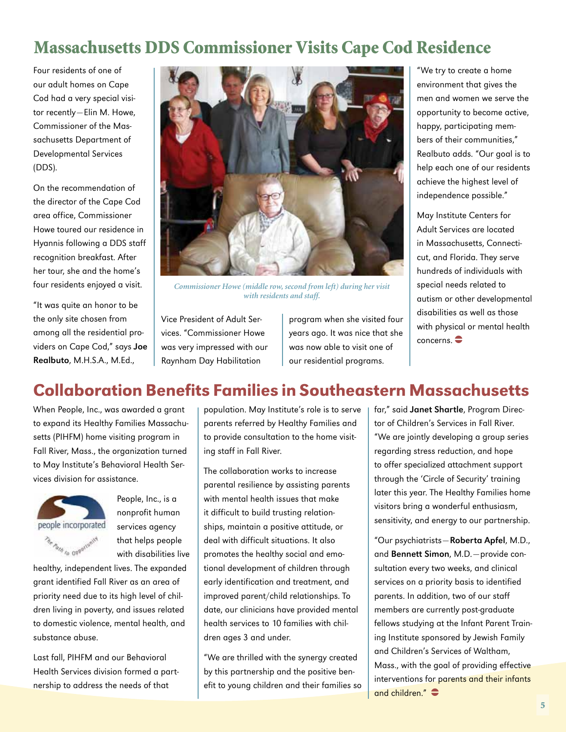## Massachusetts DDS Commissioner Visits Cape Cod Residence

Four residents of one of our adult homes on Cape Cod had a very special visitor recently—Elin M. Howe, Commissioner of the Massachusetts Department of Developmental Services (DDS).

On the recommendation of the director of the Cape Cod area office, Commissioner Howe toured our residence in Hyannis following a DDS staff recognition breakfast. After her tour, she and the home's four residents enjoyed a visit.

"It was quite an honor to be the only site chosen from among all the residential providers on Cape Cod," says Joe Realbuto, M.H.S.A., M.Ed.,



*Commissioner Howe (middle row, second from left) during her visit with residents and staff.*

Vice President of Adult Services. "Commissioner Howe was very impressed with our Raynham Day Habilitation

program when she visited four years ago. It was nice that she was now able to visit one of our residential programs.

"We try to create a home environment that gives the men and women we serve the opportunity to become active, happy, participating members of their communities," Realbuto adds. "Our goal is to help each one of our residents achieve the highest level of independence possible."

May Institute Centers for Adult Services are located in Massachusetts, Connecticut, and Florida. They serve hundreds of individuals with special needs related to autism or other developmental disabilities as well as those with physical or mental health  $concerns.$ 

#### Collaboration Benefits Families in Southeastern Massachusetts

When People, Inc., was awarded a grant to expand its Healthy Families Massachusetts (PIHFM) home visiting program in Fall River, Mass., the organization turned to May Institute's Behavioral Health Services division for assistance.



People, Inc., is a nonprofit human services agency that helps people with disabilities live

healthy, independent lives. The expanded grant identified Fall River as an area of priority need due to its high level of children living in poverty, and issues related to domestic violence, mental health, and substance abuse.

Last fall, PIHFM and our Behavioral Health Services division formed a partnership to address the needs of that

population. May Institute's role is to serve parents referred by Healthy Families and to provide consultation to the home visiting staff in Fall River.

The collaboration works to increase parental resilience by assisting parents with mental health issues that make it difficult to build trusting relationships, maintain a positive attitude, or deal with difficult situations. It also promotes the healthy social and emotional development of children through early identification and treatment, and improved parent/child relationships. To date, our clinicians have provided mental health services to 10 families with children ages 3 and under.

"We are thrilled with the synergy created by this partnership and the positive benefit to young children and their families so far," said Janet Shartle, Program Director of Children's Services in Fall River. "We are jointly developing a group series regarding stress reduction, and hope to offer specialized attachment support through the 'Circle of Security' training later this year. The Healthy Families home visitors bring a wonderful enthusiasm, sensitivity, and energy to our partnership.

"Our psychiatrists—Roberta Apfel, M.D., and Bennett Simon, M.D.—provide consultation every two weeks, and clinical services on a priority basis to identified parents. In addition, two of our staff members are currently post-graduate fellows studying at the Infant Parent Training Institute sponsored by Jewish Family and Children's Services of Waltham, Mass., with the goal of providing effective interventions for parents and their infants and children." $\bullet$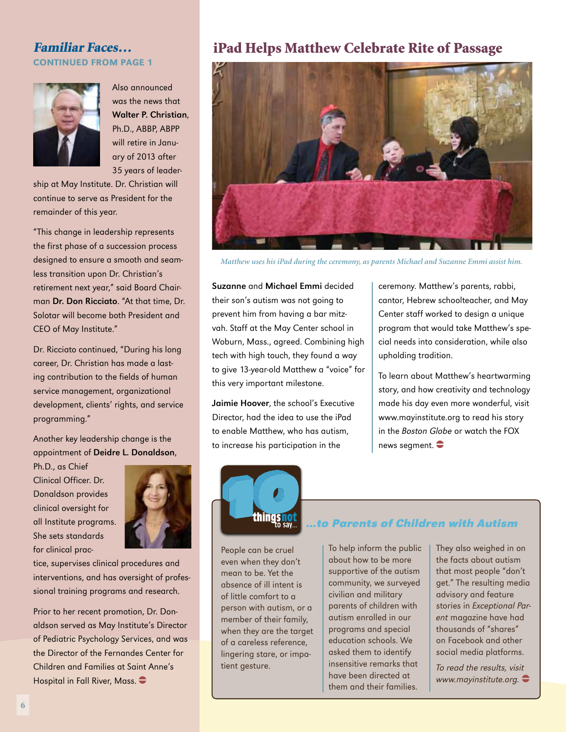## continued from page 1



Also announced was the news that Walter P. Christian, Ph.D., ABBP, ABPP will retire in January of 2013 after 35 years of leader-

ship at May Institute. Dr. Christian will continue to serve as President for the remainder of this year.

"This change in leadership represents the first phase of a succession process designed to ensure a smooth and seamless transition upon Dr. Christian's retirement next year," said Board Chairman Dr. Don Ricciato. "At that time, Dr. Solotar will become both President and CEO of May Institute."

Dr. Ricciato continued, "During his long career, Dr. Christian has made a lasting contribution to the fields of human service management, organizational development, clients' rights, and service programming."

Another key leadership change is the appointment of Deidre L. Donaldson,

Ph.D., as Chief Clinical Officer. Dr. Donaldson provides clinical oversight for all Institute programs. She sets standards for clinical prac-



tice, supervises clinical procedures and interventions, and has oversight of professional training programs and research.

Prior to her recent promotion, Dr. Donaldson served as May Institute's Director of Pediatric Psychology Services, and was the Director of the Fernandes Center for Children and Families at Saint Anne's Hospital in Fall River, Mass.  $\bullet$ 

#### Familiar Faces... **iPad Helps Matthew Celebrate Rite of Passage**



*Matthew uses his iPad during the ceremony, as parents Michael and Suzanne Emmi assist him.*

Suzanne and Michael Emmi decided their son's autism was not going to prevent him from having a bar mitzvah. Staff at the May Center school in Woburn, Mass., agreed. Combining high tech with high touch, they found a way to give 13-year-old Matthew a "voice" for this very important milestone.

Jaimie Hoover, the school's Executive Director, had the idea to use the iPad to enable Matthew, who has autism, to increase his participation in the

ceremony. Matthew's parents, rabbi, cantor, Hebrew schoolteacher, and May Center staff worked to design a unique program that would take Matthew's special needs into consideration, while also upholding tradition.

To learn about Matthew's heartwarming story, and how creativity and technology made his day even more wonderful, visit www.mayinstitute.org to read his story in the Boston Globe or watch the FOX news segment.  $\bullet$ 



#### **…to Parents of Children with Autism**

People can be cruel even when they don't mean to be. Yet the absence of ill intent is of little comfort to a person with autism, or a member of their family, when they are the target of a careless reference, lingering stare, or impatient gesture.

To help inform the public about how to be more supportive of the autism community, we surveyed civilian and military parents of children with autism enrolled in our programs and special education schools. We asked them to identify insensitive remarks that have been directed at them and their families.

They also weighed in on the facts about autism that most people "don't get." The resulting media advisory and feature stories in Exceptional Parent magazine have had thousands of "shares" on Facebook and other social media platforms.

To read the results, visit www.mayinstitute.org.  $\bullet$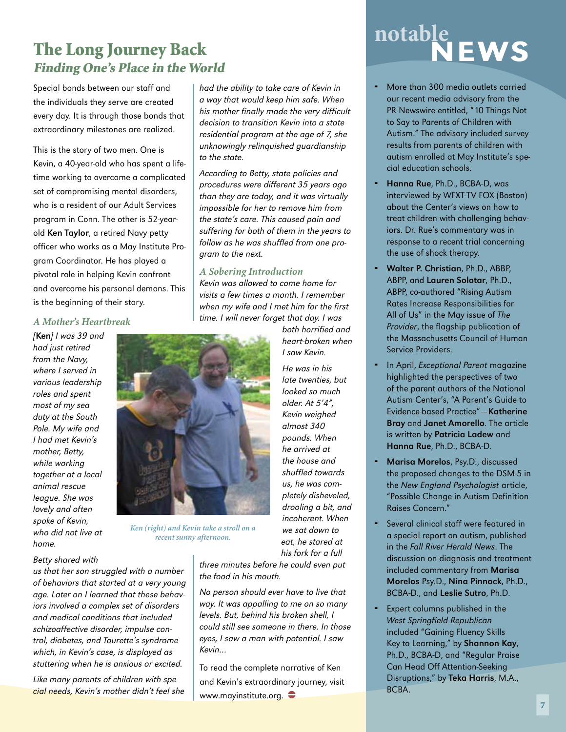#### The Long Journey Back Finding One's Place in the World

Special bonds between our staff and the individuals they serve are created every day. It is through those bonds that extraordinary milestones are realized.

This is the story of two men. One is Kevin, a 40-year-old who has spent a lifetime working to overcome a complicated set of compromising mental disorders, who is a resident of our Adult Services program in Conn. The other is 52-yearold Ken Taylor, a retired Navy petty officer who works as a May Institute Program Coordinator. He has played a pivotal role in helping Kevin confront and overcome his personal demons. This is the beginning of their story.

#### *A Mother's Heartbreak*

[Ken] I was 39 and had just retired from the Navy, where I served in various leadership roles and spent most of my sea duty at the South Pole. My wife and I had met Kevin's mother, Betty, while working together at a local animal rescue league. She was lovely and often spoke of Kevin, who did not live at home.



*Ken (right) and Kevin take a stroll on a recent sunny afternoon.* 

us that her son struggled with a number of behaviors that started at a very young

Betty shared with

age. Later on I learned that these behaviors involved a complex set of disorders and medical conditions that included schizoaffective disorder, impulse control, diabetes, and Tourette's syndrome which, in Kevin's case, is displayed as stuttering when he is anxious or excited.

Like many parents of children with special needs, Kevin's mother didn't feel she had the ability to take care of Kevin in a way that would keep him safe. When his mother finally made the very difficult decision to transition Kevin into a state residential program at the age of 7, she unknowingly relinquished guardianship to the state.

According to Betty, state policies and procedures were different 35 years ago than they are today, and it was virtually impossible for her to remove him from the state's care. This caused pain and suffering for both of them in the years to follow as he was shuffled from one program to the next.

#### *A Sobering Introduction*

Kevin was allowed to come home for visits a few times a month. I remember when my wife and I met him for the first time. I will never forget that day. I was

> both horrified and heart-broken when I saw Kevin.

He was in his late twenties, but looked so much older. At 5'4", Kevin weighed almost 340 pounds. When he arrived at the house and shuffled towards us, he was completely disheveled, drooling a bit, and incoherent. When we sat down to eat, he stared at his fork for a full

three minutes before he could even put the food in his mouth.

No person should ever have to live that way. It was appalling to me on so many levels. But, behind his broken shell, I could still see someone in there. In those eyes, I saw a man with potential. I saw Kevin…

To read the complete narrative of Ken and Kevin's extraordinary journey, visit www.mayinstitute.org.  $\bullet$ 

## notable<br>NEWS

- More than 300 media outlets carried our recent media advisory from the PR Newswire entitled, "10 Things Not to Say to Parents of Children with Autism." The advisory included survey results from parents of children with autism enrolled at May Institute's special education schools.
- Hanna Rue, Ph.D., BCBA-D, was interviewed by WFXT-TV FOX (Boston) about the Center's views on how to treat children with challenging behaviors. Dr. Rue's commentary was in response to a recent trial concerning the use of shock therapy.
- Walter P. Christian, Ph.D., ABBP, ABPP, and Lauren Solotar, Ph.D., ABPP, co-authored "Rising Autism Rates Increase Responsibilities for All of Us" in the May issue of The Provider, the flagship publication of the Massachusetts Council of Human Service Providers.
- In April, Exceptional Parent magazine highlighted the perspectives of two of the parent authors of the National Autism Center's, "A Parent's Guide to Evidence-based Practice"—Katherine Bray and Janet Amorello. The article is written by Patricia Ladew and Hanna Rue, Ph.D., BCBA-D.
- Marisa Morelos, Psy.D., discussed the proposed changes to the DSM-5 in the New England Psychologist article, "Possible Change in Autism Definition Raises Concern."
- Several clinical staff were featured in a special report on autism, published in the Fall River Herald News. The discussion on diagnosis and treatment included commentary from Marisa Morelos Psy.D., Nina Pinnock, Ph.D., BCBA-D., and Leslie Sutro, Ph.D.
- Expert columns published in the West Springfield Republican included "Gaining Fluency Skills Key to Learning," by Shannon Kay, Ph.D., BCBA-D, and "Regular Praise Can Head Off Attention-Seeking Disruptions," by Teka Harris, M.A., BCBA.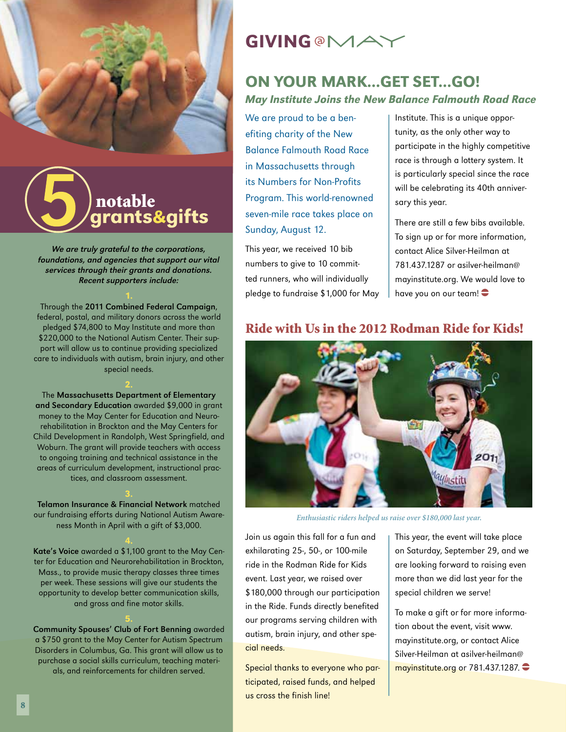

## grants&gifts notable

We are truly grateful to the corporations, foundations, and agencies that support our vital services through their grants and donations. Recent supporters include:

Through the 2011 Combined Federal Campaign, federal, postal, and military donors across the world pledged \$74,800 to May Institute and more than \$220,000 to the National Autism Center. Their support will allow us to continue providing specialized care to individuals with autism, brain injury, and other special needs.

The Massachusetts Department of Elementary and Secondary Education awarded \$9,000 in grant money to the May Center for Education and Neurorehabilitation in Brockton and the May Centers for Child Development in Randolph, West Springfield, and Woburn. The grant will provide teachers with access to ongoing training and technical assistance in the areas of curriculum development, instructional practices, and classroom assessment.

Telamon Insurance & Financial Network matched our fundraising efforts during National Autism Awareness Month in April with a gift of \$3,000.

Kate's Voice awarded a \$1,100 grant to the May Center for Education and Neurorehabilitation in Brockton, Mass., to provide music therapy classes three times per week. These sessions will give our students the opportunity to develop better communication skills, and gross and fine motor skills.

#### Community Spouses' Club of Fort Benning awarded a \$750 grant to the May Center for Autism Spectrum Disorders in Columbus, Ga. This grant will allow us to purchase a social skills curriculum, teaching materials, and reinforcements for children served.

## **GIVING @MA**

#### On youR mark...Get set...Go! May Institute Joins the New Balance Falmouth Road Race

We are proud to be a benefiting charity of the New Balance Falmouth Road Race in Massachusetts through its Numbers for Non-Profits Program. This world-renowned seven-mile race takes place on Sunday, August 12.

This year, we received 10 bib numbers to give to 10 committed runners, who will individually pledge to fundraise \$1,000 for May Institute. This is a unique opportunity, as the only other way to participate in the highly competitive race is through a lottery system. It is particularly special since the race will be celebrating its 40th anniversary this year.

There are still a few bibs available. To sign up or for more information, contact Alice Silver-Heilman at 781.437.1287 or asilver-heilman@ mayinstitute.org. We would love to have you on our team! $\bullet$ 

#### Ride with Us in the 2012 Rodman Ride for Kids!



*Enthusiastic riders helped us raise over \$180,000 last year.*

Join us again this fall for a fun and exhilarating 25-, 50-, or 100-mile ride in the Rodman Ride for Kids event. Last year, we raised over \$180,000 through our participation in the Ride. Funds directly benefited our programs serving children with autism, brain injury, and other special needs.

Special thanks to everyone who participated, raised funds, and helped us cross the finish line!

This year, the event will take place on Saturday, September 29, and we are looking forward to raising even more than we did last year for the special children we serve!

To make a gift or for more information about the event, visit www. mayinstitute.org, or contact Alice Silver-Heilman at asilver-heilman@ mayinstitute.org or 781.437.1287. $\bullet$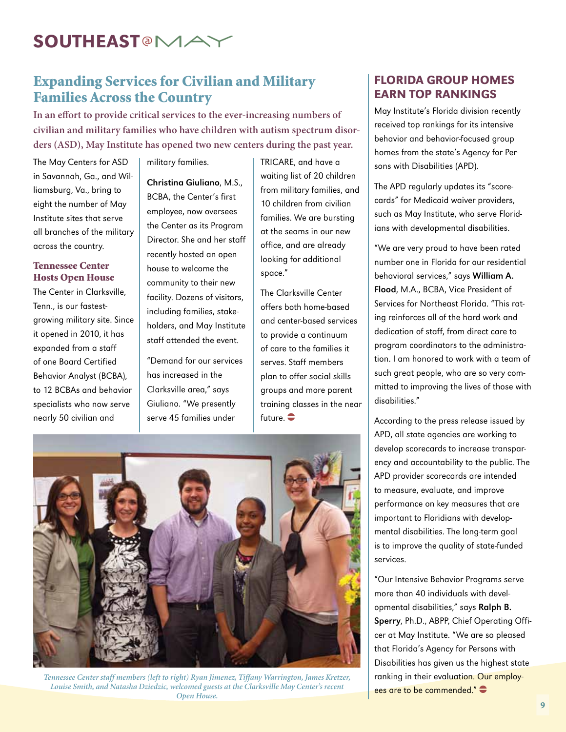## SOUTHEAST<sup>®</sup>MA

#### Expanding Services for Civilian and Military Families Across the Country

**In an effort to provide critical services to the ever-increasing numbers of civilian and military families who have children with autism spectrum disorders (ASD), May Institute has opened two new centers during the past year.** 

The May Centers for ASD in Savannah, Ga., and Williamsburg, Va., bring to eight the number of May Institute sites that serve all branches of the military across the country.

#### Tennessee Center Hosts Open House

The Center in Clarksville, Tenn., is our fastestgrowing military site. Since it opened in 2010, it has expanded from a staff of one Board Certified Behavior Analyst (BCBA), to 12 BCBAs and behavior specialists who now serve nearly 50 civilian and

military families.

Christina Giuliano, M.S., BCBA, the Center's first employee, now oversees the Center as its Program Director. She and her staff recently hosted an open house to welcome the community to their new facility. Dozens of visitors, including families, stakeholders, and May Institute staff attended the event.

"Demand for our services has increased in the Clarksville area," says Giuliano. "We presently serve 45 families under

TRICARE, and have a waiting list of 20 children from military families, and 10 children from civilian families. We are bursting at the seams in our new office, and are already looking for additional space."

The Clarksville Center offers both home-based and center-based services to provide a continuum of care to the families it serves. Staff members plan to offer social skills groups and more parent training classes in the near future.  $\bullet$ 



*Tennessee Center staff members (left to right) Ryan Jimenez, Tiffany Warrington, James Kretzer, Louise Smith, and Natasha Dziedzic, welcomed guests at the Clarksville May Center's recent Open House.*

#### Florida Group Homes Earn Top Rankings

May Institute's Florida division recently received top rankings for its intensive behavior and behavior-focused group homes from the state's Agency for Persons with Disabilities (APD).

The APD regularly updates its "scorecards" for Medicaid waiver providers, such as May Institute, who serve Floridians with developmental disabilities.

"We are very proud to have been rated number one in Florida for our residential behavioral services," says William A. Flood, M.A., BCBA, Vice President of Services for Northeast Florida. "This rating reinforces all of the hard work and dedication of staff, from direct care to program coordinators to the administration. I am honored to work with a team of such great people, who are so very committed to improving the lives of those with disabilities."

According to the press release issued by APD, all state agencies are working to develop scorecards to increase transparency and accountability to the public. The APD provider scorecards are intended to measure, evaluate, and improve performance on key measures that are important to Floridians with developmental disabilities. The long-term goal is to improve the quality of state-funded services.

"Our Intensive Behavior Programs serve more than 40 individuals with developmental disabilities," says Ralph B. Sperry, Ph.D., ABPP, Chief Operating Officer at May Institute. "We are so pleased that Florida's Agency for Persons with Disabilities has given us the highest state ranking in their evaluation. Our employees are to be commended."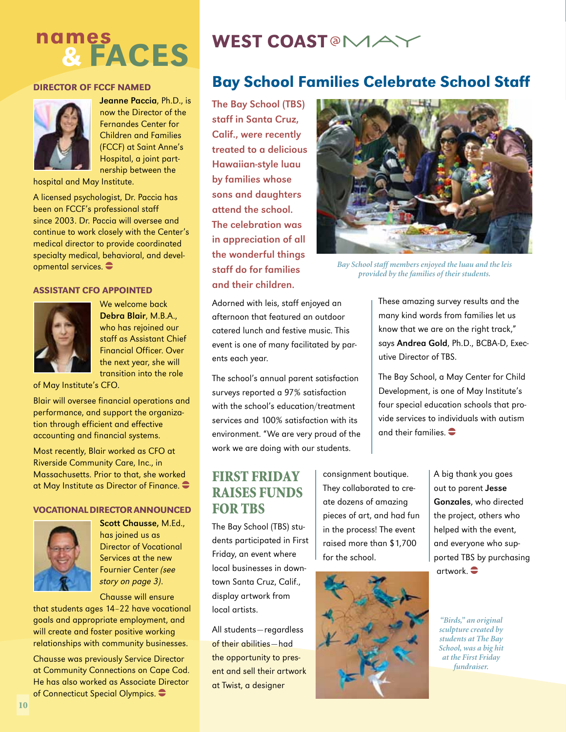## names & faces

#### Director of FCCF Named



Jeanne Paccia, Ph.D., is now the Director of the Fernandes Center for Children and Families (FCCF) at Saint Anne's Hospital, a joint partnership between the

hospital and May Institute.

A licensed psychologist, Dr. Paccia has been on FCCF's professional staff since 2003. Dr. Paccia will oversee and continue to work closely with the Center's medical director to provide coordinated specialty medical, behavioral, and developmental services.  $\bullet$ 

#### Assistant CFO appointed



We welcome back Debra Blair, M.B.A., who has rejoined our staff as Assistant Chief Financial Officer. Over the next year, she will transition into the role

of May Institute's CFO.

Blair will oversee financial operations and performance, and support the organization through efficient and effective accounting and financial systems.

Most recently, Blair worked as CFO at Riverside Community Care, Inc., in Massachusetts. Prior to that, she worked at May Institute as Director of Finance.  $\bullet$ 

#### Vocational Director announced



Scott Chausse, M.Ed., has joined us as Director of Vocational Services at the new Fournier Center (see story on page 3).

Chausse will ensure

that students ages 14–22 have vocational goals and appropriate employment, and will create and foster positive working relationships with community businesses.

Chausse was previously Service Director at Community Connections on Cape Cod. He has also worked as Associate Director of Connecticut Special Olympics.

## WEST COAST<sup>®</sup>MA

#### Bay School Families Celebrate School Staff

The Bay School (TBS) staff in Santa Cruz, Calif., were recently treated to a delicious Hawaiian-style luau by families whose sons and daughters attend the school. The celebration was in appreciation of all the wonderful things staff do for families and their children.

Adorned with leis, staff enjoyed an afternoon that featured an outdoor catered lunch and festive music. This event is one of many facilitated by parents each year.

The school's annual parent satisfaction surveys reported a 97% satisfaction with the school's education/treatment services and 100% satisfaction with its environment. "We are very proud of the work we are doing with our students.

#### First Friday Raises Funds FOR TBS

The Bay School (TBS) students participated in First Friday, an event where local businesses in downtown Santa Cruz, Calif., display artwork from local artists.

All students—regardless of their abilities—had the opportunity to present and sell their artwork at Twist, a designer



*Bay School staff members enjoyed the luau and the leis provided by the families of their students.* 

These amazing survey results and the many kind words from families let us know that we are on the right track," says Andrea Gold, Ph.D., BCBA-D, Executive Director of TBS.

The Bay School, a May Center for Child Development, is one of May Institute's four special education schools that provide services to individuals with autism and their families.  $\bullet$ 

consignment boutique. They collaborated to create dozens of amazing pieces of art, and had fun in the process! The event raised more than \$1,700 for the school.



A big thank you goes out to parent Jesse Gonzales, who directed the project, others who helped with the event, and everyone who supported TBS by purchasing artwork. $\bullet$ 

*"Birds," an original sculpture created by students at The Bay School, was a big hit at the First Friday fundraiser.*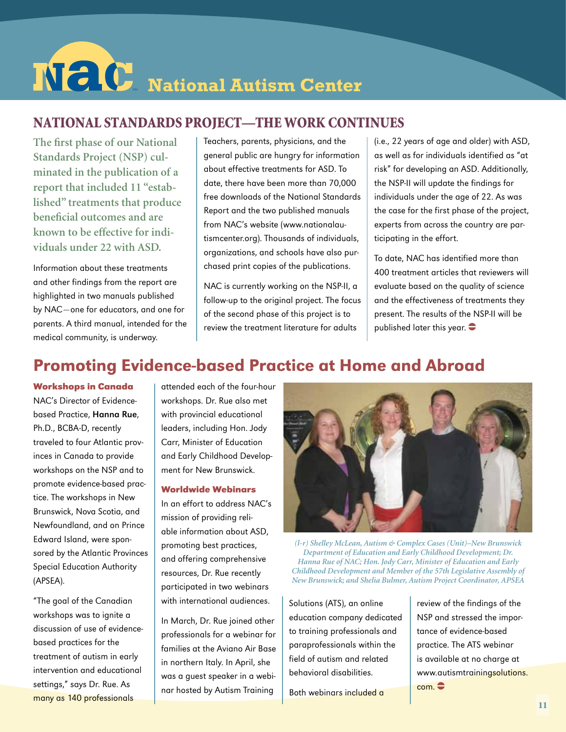# $N$  **C** National Autism Center

#### National Standards Project—The work Continues

**The first phase of our National Standards Project (NSP) culminated in the publication of a report that included 11 "established" treatments that produce beneficial outcomes and are known to be effective for individuals under 22 with ASD.**

Information about these treatments and other findings from the report are highlighted in two manuals published by NAC—one for educators, and one for parents. A third manual, intended for the medical community, is underway.

Teachers, parents, physicians, and the general public are hungry for information about effective treatments for ASD. To date, there have been more than 70,000 free downloads of the National Standards Report and the two published manuals from NAC's website (www.nationalautismcenter.org). Thousands of individuals, organizations, and schools have also purchased print copies of the publications.

NAC is currently working on the NSP-II, a follow-up to the original project. The focus of the second phase of this project is to review the treatment literature for adults

(i.e., 22 years of age and older) with ASD, as well as for individuals identified as "at risk" for developing an ASD. Additionally, the NSP-II will update the findings for individuals under the age of 22. As was the case for the first phase of the project, experts from across the country are participating in the effort.

To date, NAC has identified more than 400 treatment articles that reviewers will evaluate based on the quality of science and the effectiveness of treatments they present. The results of the NSP-II will be published later this year.  $\bullet$ 

## Promoting Evidence-based Practice at Home and Abroad

**Workshops in Canada** NAC's Director of Evidencebased Practice, Hanna Rue, Ph.D., BCBA-D, recently traveled to four Atlantic provinces in Canada to provide workshops on the NSP and to promote evidence-based practice. The workshops in New Brunswick, Nova Scotia, and Newfoundland, and on Prince Edward Island, were sponsored by the Atlantic Provinces Special Education Authority (APSEA).

"The goal of the Canadian workshops was to ignite a discussion of use of evidencebased practices for the treatment of autism in early intervention and educational settings," says Dr. Rue. As many as 140 professionals

attended each of the four-hour workshops. Dr. Rue also met with provincial educational leaders, including Hon. Jody Carr, Minister of Education and Early Childhood Development for New Brunswick.

#### **Worldwide Webinars**

In an effort to address NAC's mission of providing reliable information about ASD, promoting best practices, and offering comprehensive resources, Dr. Rue recently participated in two webinars with international audiences.

In March, Dr. Rue joined other professionals for a webinar for families at the Aviano Air Base in northern Italy. In April, she was a guest speaker in a webinar hosted by Autism Training



*(l-r) Shelley McLean, Autism & Complex Cases (Unit)–New Brunswick Department of Education and Early Childhood Development; Dr. Hanna Rue of NAC; Hon. Jody Carr, Minister of Education and Early Childhood Development and Member of the 57th Legislative Assembly of New Brunswick; and Shelia Bulmer, Autism Project Coordinator, APSEA*

Solutions (ATS), an online education company dedicated to training professionals and paraprofessionals within the field of autism and related behavioral disabilities.

Both webinars included a

review of the findings of the NSP and stressed the importance of evidence-based practice. The ATS webinar is available at no charge at www.autismtrainingsolutions.  $com. \bigoplus$